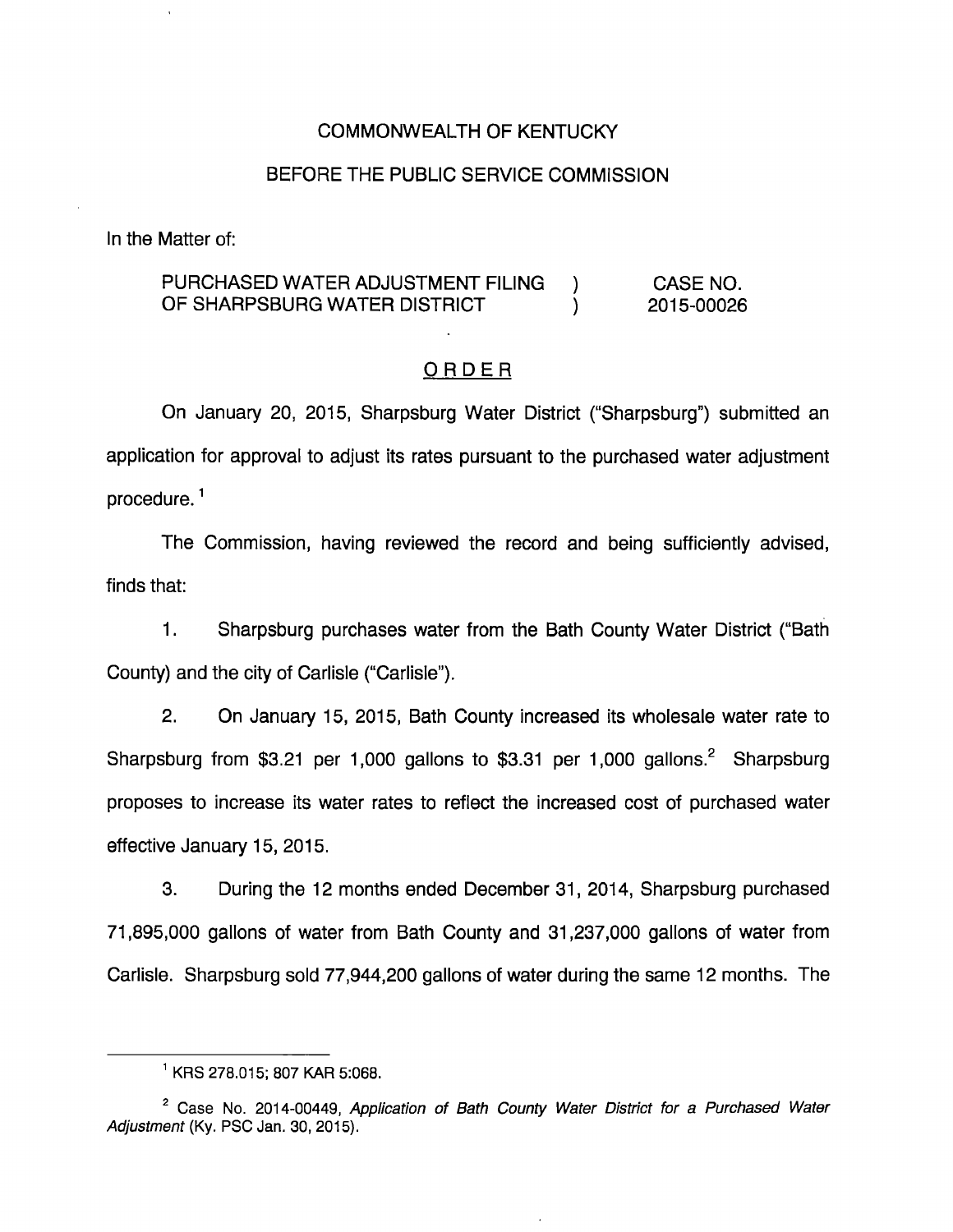### COMMONWEALTH OF KENTUCKY

### BEFORE THE PUBLIC SERVICE COMMISSION

In the Matter of:

### PURCHASED WATER ADJUSTMENT FILING ) CASE NO. OF SHARPSBURG WATER DISTRICT ) 2015-00026

#### ORDER

On January 20, 2015, Sharpsburg Water District ("Sharpsburg") submitted an application for approval to adjust its rates pursuant to the purchased water adjustment procedure. $<sup>1</sup>$ </sup>

The Commission, having reviewed the record and being sufficiently advised, finds that:

1. Sharpsburg purchases water from the Bath County Water District ("Bath County) and the city of Carlisle ("Carlisle").

2. On January 15, 2015, Bath County increased its wholesale water rate to Sharpsburg from \$3.21 per 1,000 gallons to \$3.31 per 1,000 gallons.<sup>2</sup> Sharpsburg proposes to increase its water rates to reflect the increased cost of purchased water effective January 15, 2015.

3. During the 12 months ended December 31, 2014, Sharpsburg purchased 71,895,000 gallons of water from Bath County and 31,237,000 gallons of water from Carlisle. Sharpsburg sold 77,944,200 gallons of water during the same 12 months. The

<sup>^</sup>KRS 278.015; 807 KAR 5:068.

 $2^$  Case No. 2014-00449, Application of Bath County Water District for a Purchased Water Adjustment (Ky. PSC Jan. 30, 2015).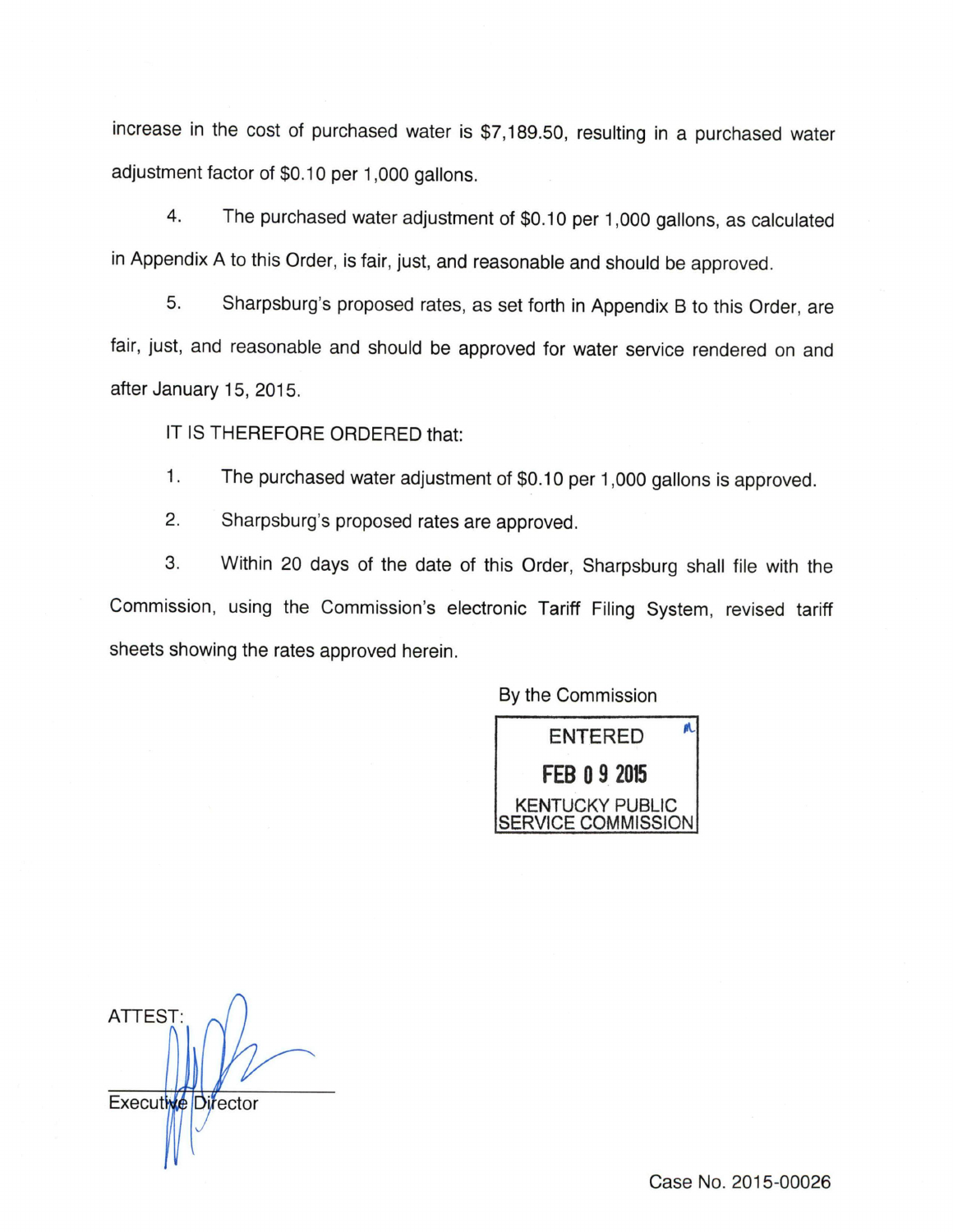increase in the cost of purchased water is \$7,189.50, resulting in a purchased water adjustment factor of \$0.10 per 1,000 gallons.

4. The purchased wateradjustment of \$0.10 per 1,000 gallons, as calculated in Appendix A to this Order, is fair, just, and reasonable and should be approved.

5. Sharpsburg's proposed rates, as set forth in Appendix B to this Order, are fair, just, and reasonable and should be approved for water service rendered on and after January 15, 2015.

IT IS THEREFORE ORDERED that:

1. The purchased water adjustment of \$0.10 per 1,000 gallons is approved.

2. Sharpsburg's proposed rates are approved.

3. Within 20 days of the date of this Order, Sharpsburg shall file with the Commission, using the Commission's electronic Tariff Filing System, revised tariff sheets showing the rates approved herein.

By the Commission



ATTEST:  $\Lambda$ Executive Director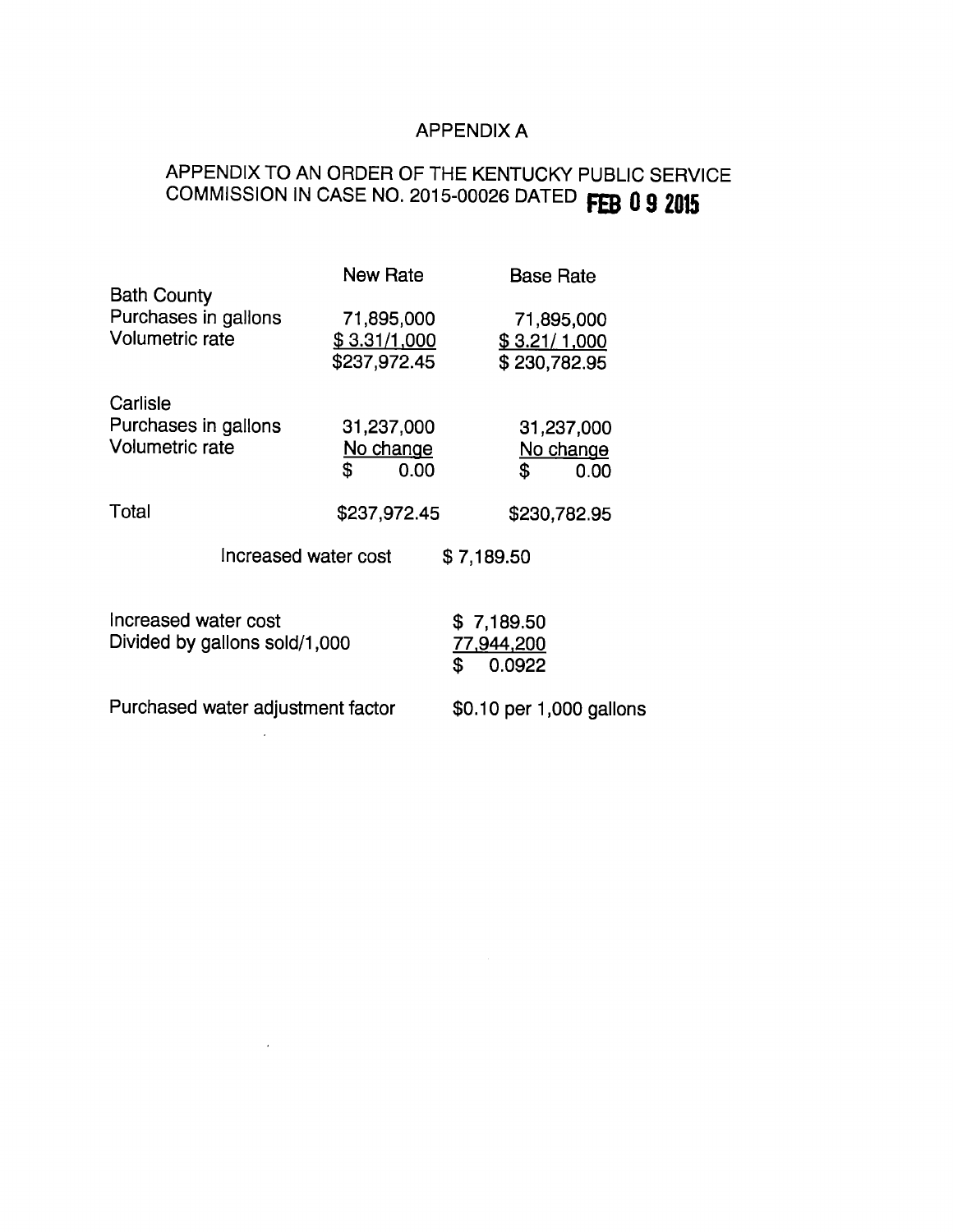### APPENDIX A

# APPENDIX TO AN ORDER OF THE KENTUCKY PUBLIC SERVICE COMMISSION IN CASE NO. 2015-00026 DATED FEB 0 9 2015

|                                    | New Rate     | <b>Base Rate</b>         |  |  |
|------------------------------------|--------------|--------------------------|--|--|
| <b>Bath County</b>                 |              |                          |  |  |
| Purchases in gallons               | 71,895,000   | 71,895,000               |  |  |
| Volumetric rate                    | \$3.31/1,000 | \$3.21/1,000             |  |  |
|                                    | \$237,972.45 | \$230,782.95             |  |  |
| Carlisle                           |              |                          |  |  |
| Purchases in gallons               | 31,237,000   | 31,237,000               |  |  |
| <b>Volumetric rate</b>             | No change    | No change                |  |  |
|                                    | \$<br>0.00   | \$<br>0.00               |  |  |
| Total                              | \$237,972.45 | \$230,782.95             |  |  |
| Increased water cost<br>\$7,189.50 |              |                          |  |  |
|                                    |              |                          |  |  |
| Increased water cost               |              | \$7,189.50               |  |  |
| Divided by gallons sold/1,000      |              | 77,944,200               |  |  |
|                                    |              | \$<br>0.0922             |  |  |
| Purchased water adjustment factor  |              | \$0.10 per 1,000 gallons |  |  |

 $\mathcal{L}$ 

 $\sim 10^{11}$  km  $^{-1}$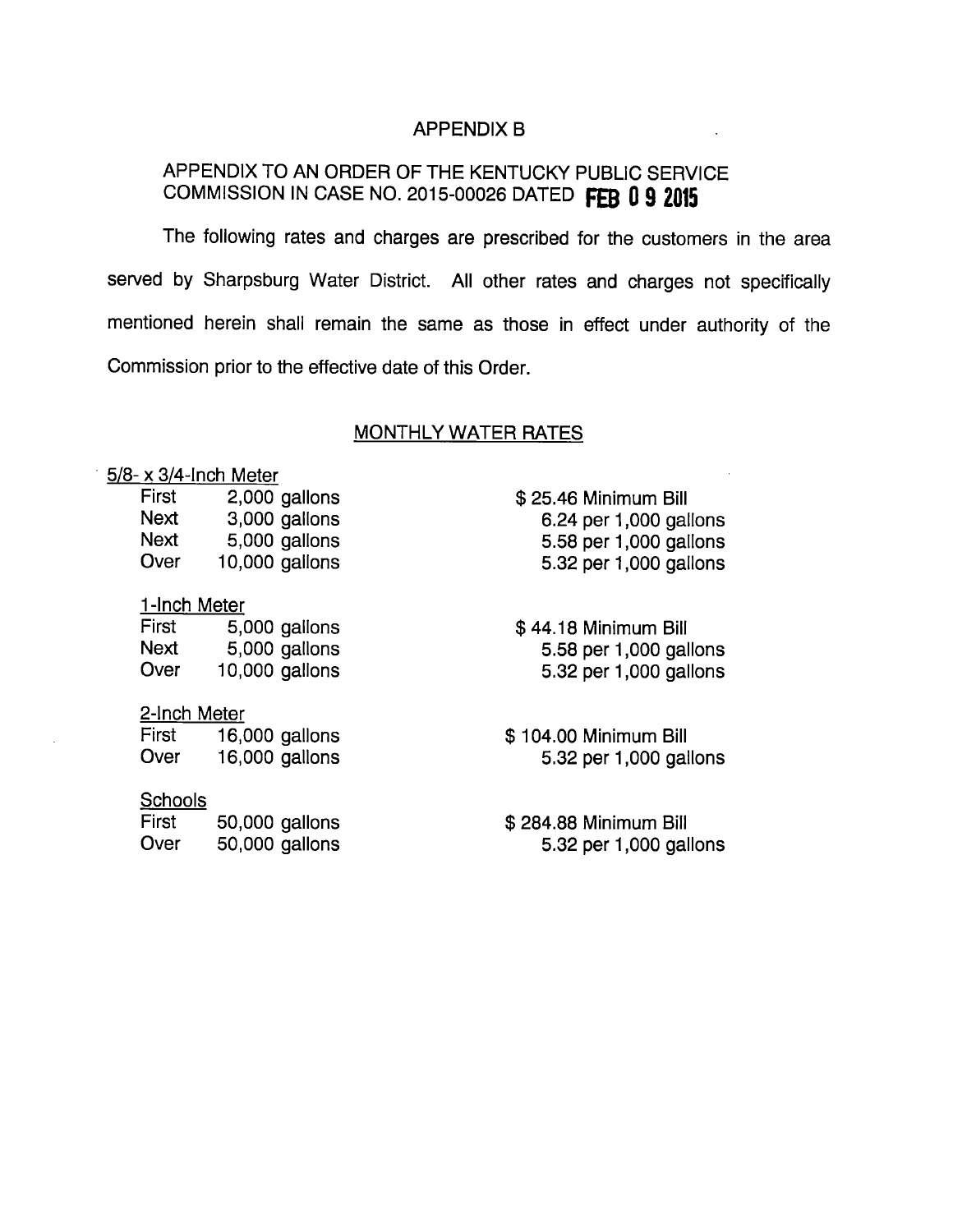### APPENDIX B

## APPENDIX TO AN ORDER OF THE KENTUCKY PUBLIC SERVICE COMMISSION IN CASE NO. 2015-00026 DATED FEB 0 9 2015

The following rates and charges are prescribed for the customers in the area served by Sharpsburg Water District. All other rates and charges not specifically mentioned herein shall remain the same as those in effect under authority of the Commission prior to the effective date of this Order.

#### MONTHLY WATER RATES

### 5/8- X 3/4-inch Meter

| First | 2,000 gallons  |
|-------|----------------|
| Next  | 3,000 gallons  |
| Next  | 5,000 gallons  |
| Over  | 10,000 gallons |

#### 1-Inch Meter

First 5,000 gallons Next 5,000 gallons Over 10,000 gallons

### 2-Inch Meter

First 16,000 gallons Over 16,000 gallons

### **Schools**

| <b>First</b> | 50,000 gallons |
|--------------|----------------|
| Over         | 50,000 gallons |

\$ 25.46 Minimum Bill 6.24 per 1,000 gallons 5.58 per 1,000 gallons 5.32 per 1,000 gallons

\$ 44.18 Minimum Bill 5.58 per 1,000 gallons 5.32 per 1,000 gallons

\$ 104.00 Minimum Bill 5.32 per 1,000 gallons

\$ 284.88 Minimum Bill 5.32 per 1,000 gallons